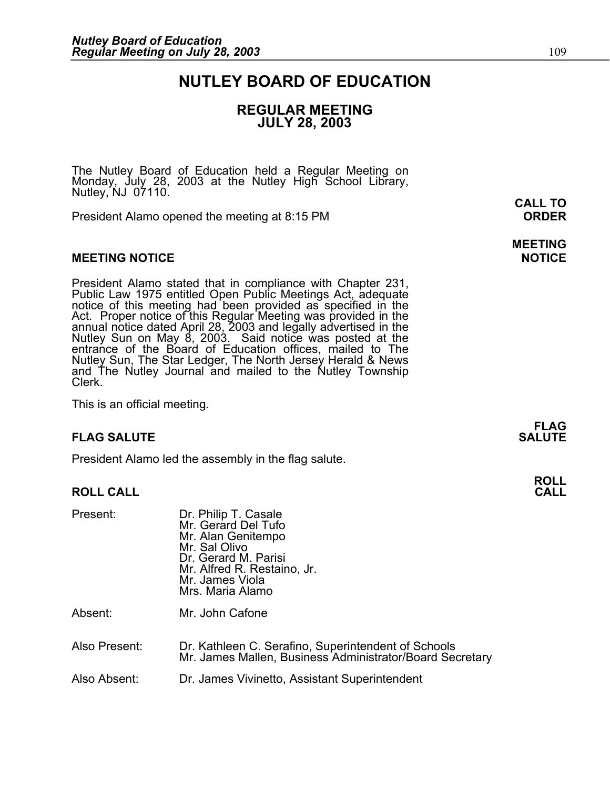### **NUTLEY BOARD OF EDUCATION**

### **REGULAR MEETING JULY 28, 2003**

The Nutley Board of Education held a Regular Meeting on Monday, July 28, 2003 at the Nutley High School Library, Nutley, NJ 07110.

President Alamo opened the meeting at 8:15 PM **ORDER**

### **MEETING NOTICE NOTICE AND INCLUSION CONTROL**

President Alamo stated that in compliance with Chapter 231,<br>Public Law 1975 entitled Open Public Meetings Act, adequate<br>notice of this meeting had been provided as specified in the<br>Act. Proper notice of this Regular Meetin annual notice dated April 28, 2003 and legally advertised in the<br>Nutley Sun on May 8, 2003. Said notice was posted at the<br>entrance of the Board of Education offices, mailed to The Nutley Sun, The Star Ledger, The North Jersey Herald & News and The Nutley Journal and mailed to the Nutley Township<br>Clerk.

This is an official meeting.

### **FLAG SALUTE SALUTE SALUTE**

President Alamo led the assembly in the flag salute.

### **ROLL CALL**

| Present:      | Dr. Philip T. Casale<br>Mr. Gerard Del Tufo<br>Mr. Alan Genitempo<br>Mr. Sal Olivo<br>Dr. Gerard M. Parisi<br>Mr. Alfred R. Restaino, Jr.<br>Mr. James Viola<br>Mrs. Maria Alamo |
|---------------|----------------------------------------------------------------------------------------------------------------------------------------------------------------------------------|
| Absent:       | Mr. John Cafone                                                                                                                                                                  |
| Also Present: | Dr. Kathleen C. Serafino, Superintendent of Schools<br>Mr. James Mallen, Business Administrator/Board Secretary                                                                  |

Also Absent: Dr. James Vivinetto, Assistant Superintendent

**FLAG** 

**ROLL** 

**CALL TO** 

**MEETING**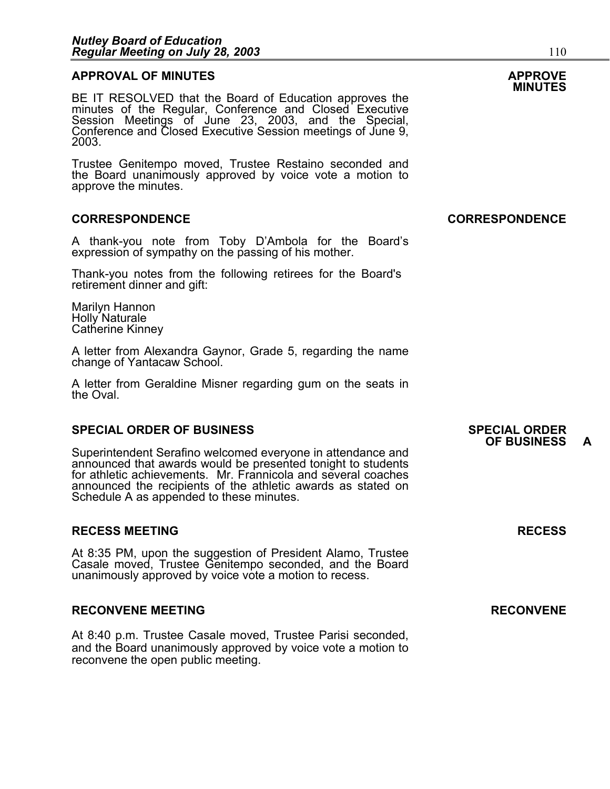### **APPROVAL OF MINUTES APPROVE**

**MINUTES** BE IT RESOLVED that the Board of Education approves the minutes of the Regular, Conference and Closed Executive Session Meetings of June 23, 2003, and the Special,<br>Conference and Closed Executive Session meetings of June 9,<br>2003.

Trustee Genitempo moved, Trustee Restaino seconded and the Board unanimously approved by voice vote a motion to approve the minutes.

### **CORRESPONDENCE CORRESPONDENCE**

A thank-you note from Toby D'Ambola for the Board's expression of sympathy on the passing of his mother.

Thank-you notes from the following retirees for the Board's retirement dinner and gift:

Marilyn Hannon Holly Naturale<br>Catherine Kinney

A letter from Alexandra Gaynor, Grade 5, regarding the name change of Yantacaw School.

A letter from Geraldine Misner regarding gum on the seats in the Oval.

### **SPECIAL ORDER OF BUSINESS SPECIAL ORDER**

Superintendent Serafino welcomed everyone in attendance and announced that awards would be presented tonight to students for athletic achievements. Mr. Frannicola and several coaches announced the recipients of the athletic awards as stated on Schedule A as appended to these minutes.

### **RECESS MEETING RECESS**

At 8:35 PM, upon the suggestion of President Alamo, Trustee Casale moved, Trustee Genitempo seconded, and the Board unanimously approved by voice vote a motion to recess.

#### **RECONVENE MEETING RECONVENE**

At 8:40 p.m. Trustee Casale moved, Trustee Parisi seconded, and the Board unanimously approved by voice vote a motion to reconvene the open public meeting.

### **OF BUSINESS A**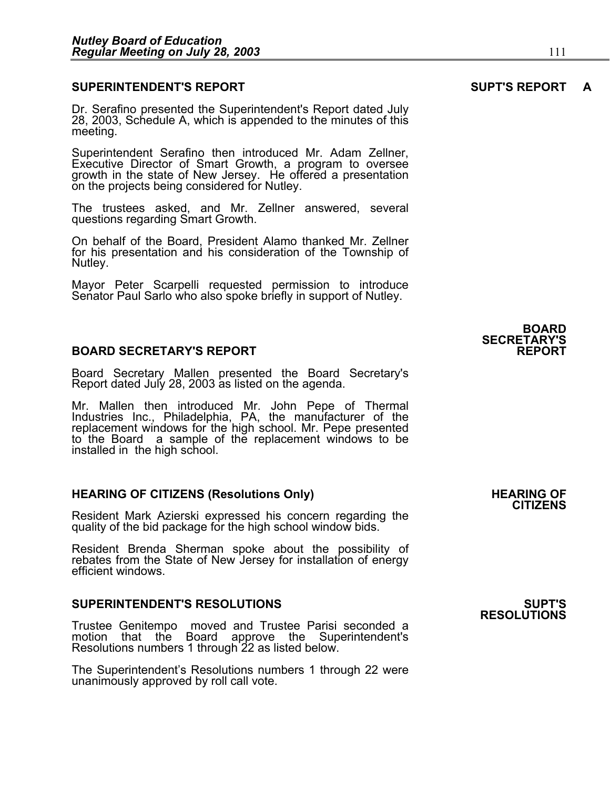### **SUPERINTENDENT'S REPORT SUPT'S REPORT A**

Dr. Serafino presented the Superintendent's Report dated July 28, 2003, Schedule A, which is appended to the minutes of this meeting.

Superintendent Serafino then introduced Mr. Adam Zellner, Executive Director of Smart Growth, a program to oversee growth in the state of New Jersey. He offered a presentation on the projects being considered for Nutley.

The trustees asked, and Mr. Zellner answered, several questions regarding Smart Growth.

On behalf of the Board, President Alamo thanked Mr. Zellner for his presentation and his consideration of the Township of Nutley.

Mayor Peter Scarpelli requested permission to introduce Senator Paul Sarlo who also spoke briefly in support of Nutley.

### **BOARD SECRETARY'S REPORT**

Board Secretary Mallen presented the Board Secretary's Report dated July 28, 2003 as listed on the agenda.

Mr. Mallen then introduced Mr. John Pepe of Thermal Industries Inc., Philadelphia, PA, the manufacturer of the replacement windows for the high school. Mr. Pepe presented<br>to the Board a sample of the replacement windows to be installed in the high school.

#### **HEARING OF CITIZENS (Resolutions Only) THEARING OF STATE AND REARING OF STATE AND REARING OF**

Resident Mark Azierski expressed his concern regarding the quality of the bid package for the high school window bids.

Resident Brenda Sherman spoke about the possibility of rebates from the State of New Jersey for installation of energy efficient windows.

#### **SUPERINTENDENT'S RESOLUTIONS SUPT'S**

Trustee Genitempo moved and Trustee Parisi seconded a motion that the Board approve the Superintendent's Resolutions numbers 1 through 22 as listed below.

The Superintendent's Resolutions numbers 1 through 22 were unanimously approved by roll call vote.

**CITIZENS** 

**RESOLUTIONS** 

### **BOARD SECRETARY'S**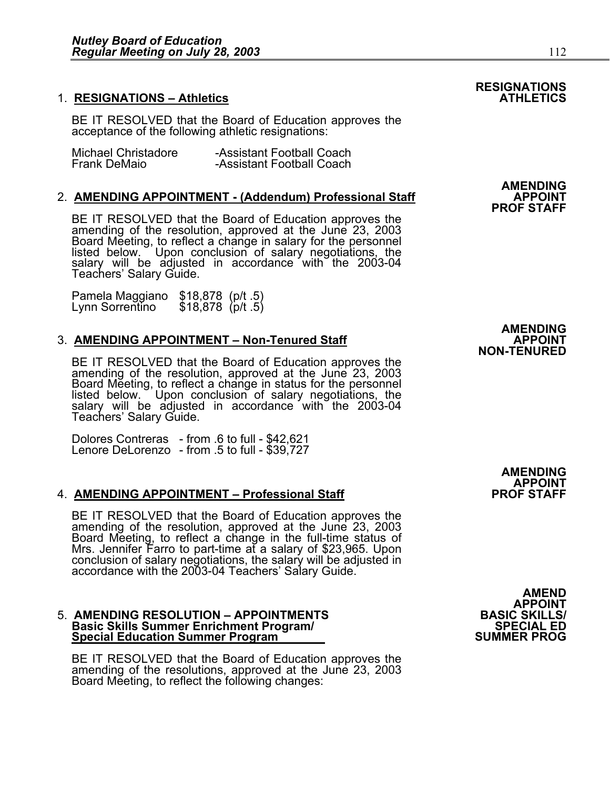### **1. RESIGNATIONS - Athletics**

BE IT RESOLVED that the Board of Education approves the acceptance of the following athletic resignations:

| Michael Christadore | -Assistant Football Coach |
|---------------------|---------------------------|
| <b>Frank DeMaio</b> | -Assistant Football Coach |

### 2. AMENDING APPOINTMENT - (Addendum) Professional Staff

BE IT RESOLVED that the Board of Education approves the amending of the resolution, approved at the June 23, 2003 Board Meeting, to reflect a change in salary for the personnel listed below. Upon conclusion of salary negot salary will be adjusted in accordance with the 2003-04<br>Teachers' Salary Guide.

Pamela Maggiano \$18,878 (p/t .5) Lynn Sorrentino \$18,878 (p/t .5)

### 3. **AMENDING APPOINTMENT - Non-Tenured Staff**

BE IT RESOLVED that the Board of Education approves the<br>amending of the resolution, approved at the June 23, 2003<br>Board Meeting, to reflect a change in status for the personnel listed below. Upon conclusion of salary negotiations, the<br>salary will be adjusted in accordance with the 2003-04 Teachers' Salary Guide.

Dolores Contreras - from .6 to full - \$42,621 Lenore DeLorenzo - from .5 to full - \$39,727

### 4. **AMENDING APPOINTMENT – Professional Staff**

BE IT RESOLVED that the Board of Education approves the<br>amending of the resolution, approved at the June 23, 2003<br>Board Meeting, to reflect a change in the full-time status of<br>Mrs. Jennifer Farro to part-time at a salary o

#### **5. AMENDING RESOLUTION - APPOINTMENTS Basic Skills Summer Enrichment Program/ SPECIAL ED Special Education Summer Program**

BE IT RESOLVED that the Board of Education approves the amending of the resolutions, approved at the June 23, 2003 Board Meeting, to reflect the following changes:

**AMEND APPOINT<br>BASIC SKILLS/<br>SPECIAL ED** 

## **RESIGNATIONS**

**AMENDING PROF STAFF** 

 **AMENDING NON-TENURED** 

> **AMENDING APPOINT**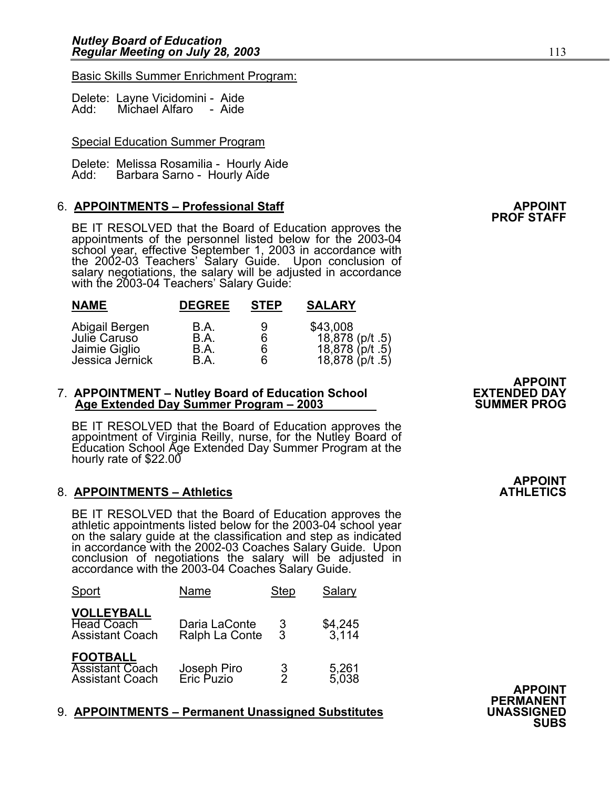### Basic Skills Summer Enrichment Program:

|      | Delete: Layne Vicidomini - | Aide |
|------|----------------------------|------|
| Add: | Michael Alfaro             | Aide |

### Special Education Summer Program

Delete: Melissa Rosamilia - Hourly Aide<br>Add: Barbara Sarno - Hourly Aide Barbara Sarno - Hourly Aide

### 6. **APPOINTMENTS – Professional Staff APPOINT**

BE IT RESOLVED that the Board of Education approves the appointments of the personnel listed below for the 2003-04 school year, effective September 1, 2003 in accordance with the 2002-03 Teachers' Salary Guide. Upon conclusion of salary negotiations, the salary will be adjusted in accordance with the 2003-04 Teachers' Salary Guide:

| <b>NAME</b>                                     | <b>DEGREE</b>        | <b>STEP</b> | <b>SALARY</b>                                                     |
|-------------------------------------------------|----------------------|-------------|-------------------------------------------------------------------|
| Abigail Bergen<br>Julie Caruso<br>Jaimie Giglio | B.A.<br>B.A.<br>B.A. | 9<br>6      | \$43,008<br>18,878 (p/t .5)<br>18,878 (p/t .5)<br>18,878 (p/t .5) |
| Jessica Jernick                                 | B.A.                 | 6           |                                                                   |

### 7. **APPOINTMENT – Nutley Board of Education School EXTENDED DAY Age Extended Day Summer Program – 2003 SUMMER PROG**

BE IT RESOLVED that the Board of Education approves the appointment of Virginia Reilly, nurse, for the Nutley Board of Education School Age Extended Day Summer Program at the hourly rate of \$22.00

### 8. **APPOINTMENTS - Athletics**

BE IT RESOLVED that the Board of Education approves the athletic appointments listed below for the 2003-04 school year<br>on the salary guide at the classification and step as indicated<br>in accordance with the 2002-03 Coaches Salary Guide. Upon in accordance with the 2002-03 Coaches Salary Guide. Upon conclusion of negotiations the salary will be adjusted in accordance with the 2003-04 Coaches Salary Guide.

| <b>Sport</b>                                                        | Name                            | <b>Step</b>   | Salary            |                |
|---------------------------------------------------------------------|---------------------------------|---------------|-------------------|----------------|
| <b>VOLLEYBALL</b><br><b>Head Coach</b><br><b>Assistant Coach</b>    | Daria LaConte<br>Ralph La Conte |               | $$4,245$<br>3,114 |                |
| <b>FOOTBALL</b><br><b>Assistant Coach</b><br><b>Assistant Coach</b> | Joseph Piro<br>Eric Puzio       | $\frac{3}{2}$ | 5,261<br>5,038    | <b>APPOINT</b> |

### 9. **APPOINTMENTS – Permanent Unassigned Substitutes UNASSIGNED SUBS**

**PROF STAFF** 

# **APPOINT<br>EXTENDED DAY**

**APPOINT** 

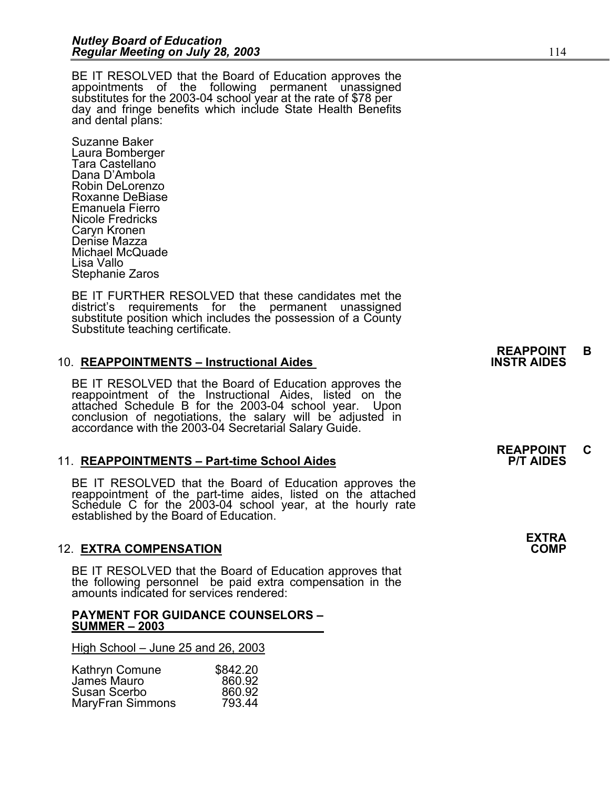BE IT RESOLVED that the Board of Education approves the appointments of the following permanent unassigned substitutes for the 2003-04 school year at the rate of \$78 per day and fringe benefits which include State Health B and dental plans:

Suzanne Baker Laura Bomberger Tara Castellano Dana D'Ambola Robin DeLorenzo Roxanne DeBiase Emanuela Fierro Nicole Fredricks Caryn Kronen Denise Mazza Michael McQuade Lisa Vallo Stephanie Zaros

BE IT FURTHER RESOLVED that these candidates met the district's requirements for the permanent unassigned substitute position which includes the possession of a County Substitute teaching certificate.

### 10. **REAPPOINTMENTS – Instructional Aides**

BE IT RESOLVED that the Board of Education approves the reappointment of the Instructional Aides, listed on the attached Schedule B for the 2003-04 school year. Upon conclusion of negotiations, the salary will be adjusted in accordance with the 2003-04 Secretarial Salary Guide.

### 11. **REAPPOINTMENTS – Part-time School Aides**

BE IT RESOLVED that the Board of Education approves the reappointment of the part-time aides, listed on the attached Schedule C for the 2003-04 school year, at the hourly rate<br>established by the Board of Education.

### 12. **EXTRA COMPENSATION COMP**

BE IT RESOLVED that the Board of Education approves that the following personnel be paid extra compensation in the amounts indicated for services rendered:

#### **PAYMENT FOR GUIDANCE COUNSELORS – SUMMER – 2003**

High School – June 25 and 26, 2003

| Kathryn Comune   | \$842.20 |
|------------------|----------|
| James Mauro      | 860.92   |
| Susan Scerbo     | 860.92   |
| MaryFran Simmons | 793.44   |

**REAPPOINT C** 

**EXTRA**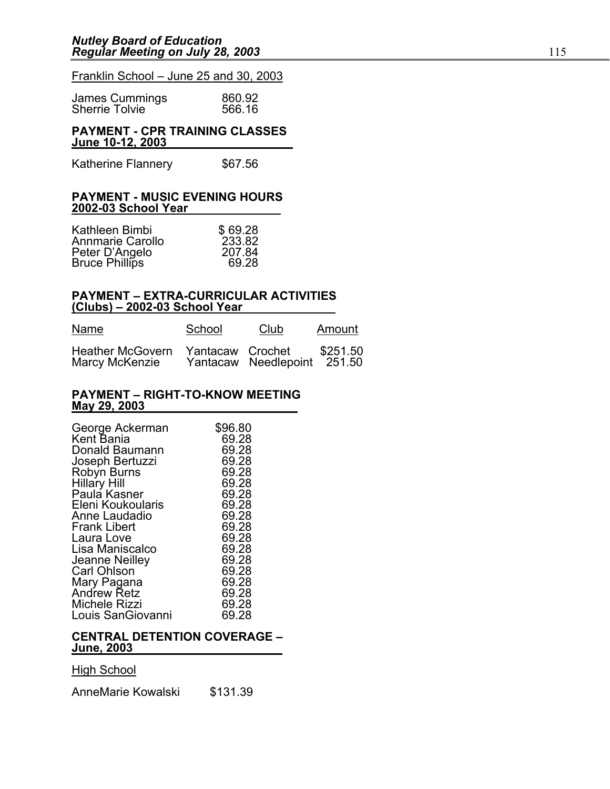### Franklin School – June 25 and 30, 2003

| James Cummings        | 860.92 |
|-----------------------|--------|
| <b>Sherrie Tolvie</b> | 566.16 |

### **PAYMENT - CPR TRAINING CLASSES June 10-12, 2003**

| <b>Katherine Flannery</b> | \$67.56 |
|---------------------------|---------|
|---------------------------|---------|

#### **PAYMENT - MUSIC EVENING HOURS 2002-03 School Year**

| Kathleen Bimbi                   | \$69.28         |
|----------------------------------|-----------------|
| Annmarie Carollo                 | 233.82          |
| Peter D'Angelo<br>Bruce Phillips | 207.84<br>69.28 |
|                                  |                 |

### **PAYMENT – EXTRA-CURRICULAR ACTIVITIES (Clubs) – 2002-03 School Year**

| Name                                      | School           | Club                 | Amount             |
|-------------------------------------------|------------------|----------------------|--------------------|
| <b>Heather McGovern</b><br>Marcy McKenzie | Yantacaw Crochet | Yantacaw Needlepoint | \$251.50<br>251.50 |

#### **PAYMENT – RIGHT-TO-KNOW MEETING May 29, 2003**

| George Ackerman<br>Kent Bania        | \$96.80<br>69.28 |
|--------------------------------------|------------------|
| Donald Baumann                       | 69.28            |
| Joseph Bertuzzi<br>Robyn Burns       | 69.28<br>69.28   |
| <b>Hillary Hill</b>                  | 69.28            |
| Paula Kasner                         | 69.28            |
| Eleni Koukoularis<br>Anne Laudadio   | 69.28<br>69.28   |
| <b>Frank Libert</b>                  | 69.28            |
| Laura Love                           | 69.28            |
| Lisa Maniscalco                      | 69.28<br>69.28   |
| Jeanne Neilley<br><b>Carl Ohlson</b> | 69.28            |
| Mary Pagana                          | 69.28            |
| <b>Andrew Retz</b>                   | 69.28            |
| Michele Rizzi<br>Louis SanGiovanni   | 69.28<br>69.28   |
|                                      |                  |

### **CENTRAL DETENTION COVERAGE – June, 2003**

High School

I AnneMarie Kowalski \$131.39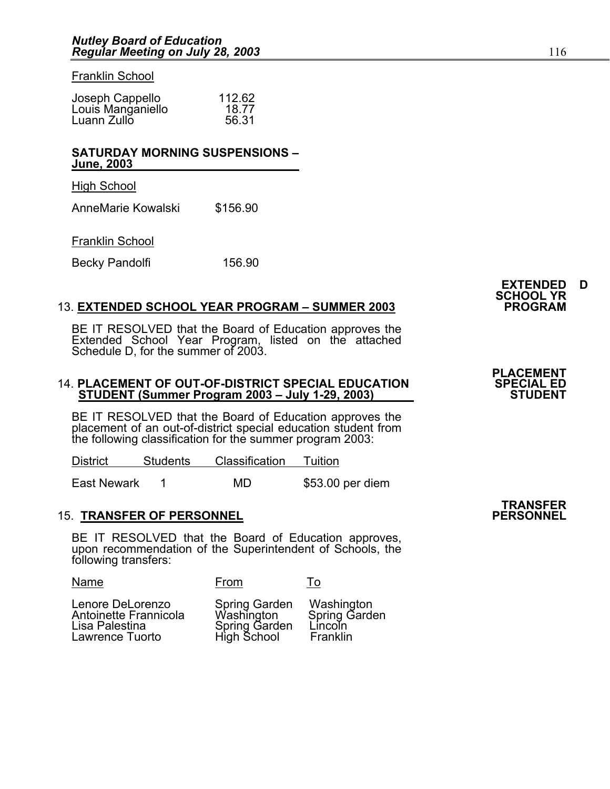Franklin School

| Joseph Cappello   | 112.62 |
|-------------------|--------|
| Louis Manganiello | 18.77  |
| Luann Zullo       | 56.31  |

### **SATURDAY MORNING SUSPENSIONS – June, 2003**

High School

٦ AnneMarie Kowalski \$156.90

### Franklin School

Becky Pandolfi 156.90

### 13. **EXTENDED SCHOOL YEAR PROGRAM - SUMMER 2003**

BE IT RESOLVED that the Board of Education approves the<br>Extended School Year Program, listed on the attached Schedule D, for the summer of 2003.

## 14. **PLACEMENT OF OUT-OF-DISTRICT SPECIAL EDUCATION SPECIAL ED STUDENT (Summer Program 2003 – July 1-29, 2003) STUDENT**

BE IT RESOLVED that the Board of Education approves the placement of an out-of-district special education student from the following classification for the summer program 2003:

| <b>District</b> | <b>Students</b> | Classification Tuition |                  |
|-----------------|-----------------|------------------------|------------------|
|                 |                 |                        |                  |
| East Newark     |                 | MD                     | \$53.00 per diem |

### **15. TRANSFER OF PERSONNEL**

BE IT RESOLVED that the Board of Education approves, upon recommendation of the Superintendent of Schools, the following transfers:

| Name                                                                           | From                                                        | 10                                                 |
|--------------------------------------------------------------------------------|-------------------------------------------------------------|----------------------------------------------------|
| Lenore DeLorenzo<br>Antoinette Frannicola<br>Lisa Palestina<br>Lawrence Tuorto | Spring Garden<br>Washington<br>Spring Garden<br>High School | Washington<br>Spring Garden<br>Lincoln<br>Franklin |

## **TRANSFER**

**EXTENDED D SCHOOL YR** 

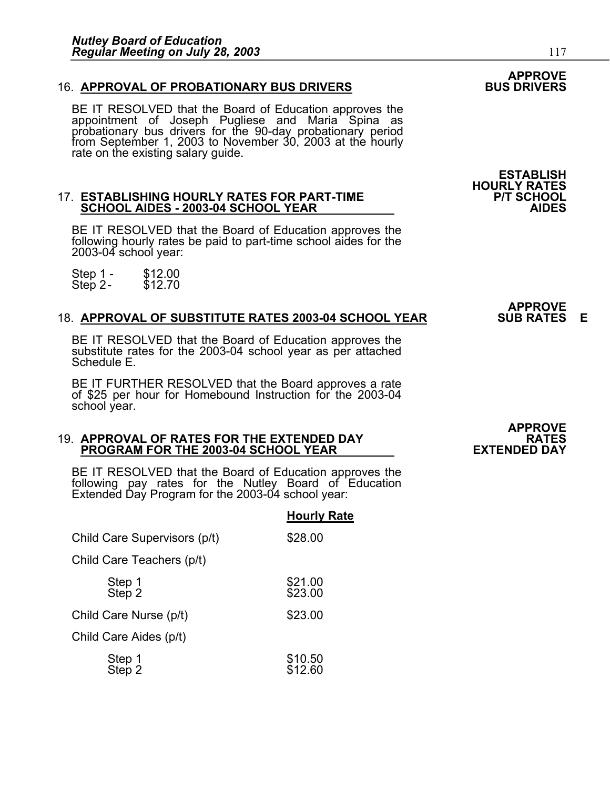### 16. **APPROVAL OF PROBATIONARY BUS DRIVERS**

BE IT RESOLVED that the Board of Education approves the<br>appointment of Joseph Pugliese and Maria Spina as probationary bus drivers for the 90-day probationary period<br>from September 1, 2003 to November 30, 2003 at the hourly rate on the existing salary guide.

## 17. **ESTABLISHING HOURLY RATES FOR PART-TIME P/T SCHOOL SCHOOL AIDES - 2003-04 SCHOOL YEAR AIDES**

BE IT RESOLVED that the Board of Education approves the following hourly rates be paid to part-time school aides for the 2003-04 school year:

Step 1 - \$12.00<br>Step 2- \$12.70 Step  $2-$ 

### 18. **APPROVAL OF SUBSTITUTE RATES 2003-04 SCHOOL YEAR**

BE IT RESOLVED that the Board of Education approves the substitute rates for the 2003-04 school year as per attached Schedule E.

BE IT FURTHER RESOLVED that the Board approves a rate of \$25 per hour for Homebound Instruction for the 2003-04 school year.

### 19. **APPROVAL OF RATES FOR THE EXTENDED DAY RATES PROGRAM FOR THE 2003-04 SCHOOL YEAR EXTENDED DAY**

BE IT RESOLVED that the Board of Education approves the following pay rates for the Nutley Board of Education Extended Day Program for the 2003-04 school year:

### **Hourly Rate**

| Child Care Supervisors (p/t) | \$28.00            |
|------------------------------|--------------------|
| Child Care Teachers (p/t)    |                    |
| Step 1<br>Step 2             | \$21.00<br>\$23.00 |
| Child Care Nurse (p/t)       | \$23.00            |
| Child Care Aides (p/t)       |                    |
| Step 1<br>Step 2             | \$10.50<br>\$12.60 |

**HOURLY RATES** 

# **APPROVE**

# **APPROVE**

## **APPROVE**

**ESTABLISH**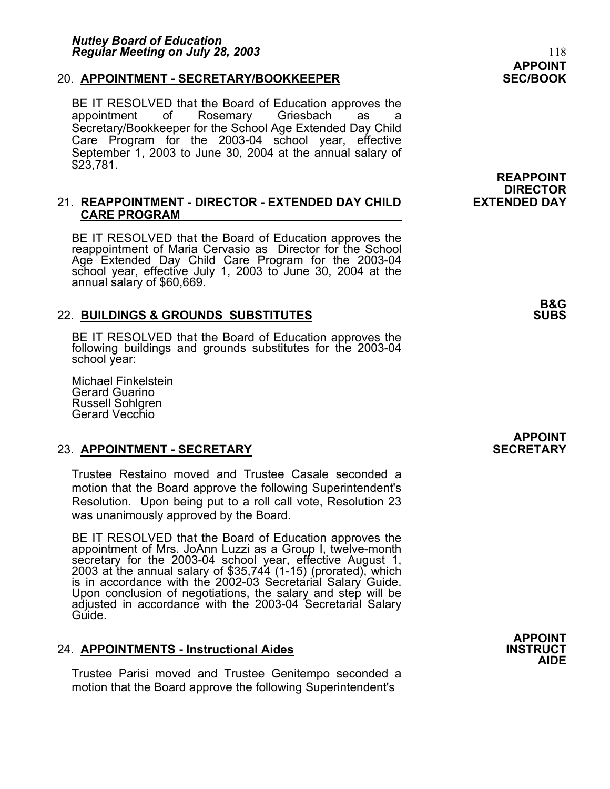### 20. **APPOINTMENT - SECRETARY/BOOKKEEPER SEC/BOOK**

BE IT RESOLVED that the Board of Education approves the appointment of Rosemary Griesbach as a Secretary/Bookkeeper for the School Age Extended Day Child Care Program for the 2003-04 school year, effective September 1, 2003 to June 30, 2004 at the annual salary of \$23,781.

### 21. **REAPPOINTMENT - DIRECTOR - EXTENDED DAY CHILD EXTENDED DAY CARE PROGRAM**

BE IT RESOLVED that the Board of Education approves the reappointment of Maria Cervasio as Director for the School Age Extended Day Child Care Program for the 2003-04 school year, effective July 1, 2003 to June 30, 2004 at the annual salary of \$60,669.

### 22. **BUILDINGS & GROUNDS SUBSTITUTES SUBS**

BE IT RESOLVED that the Board of Education approves the following buildings and grounds substitutes for the 2003-04 school year:

Michael Finkelstein Gerard Guarino Russell Sohlgren Gerard Vecchio

### **23. APPOINTMENT - SECRETARY**

Trustee Restaino moved and Trustee Casale seconded a motion that the Board approve the following Superintendent's Resolution. Upon being put to a roll call vote, Resolution 23 was unanimously approved by the Board.

BE IT RESOLVED that the Board of Education approves the appointment of Mrs. JoAnn Luzzi as a Group I, twelve-month secretary for the 2003-04 school year, effective August 1, 2003 at the annual salary of \$35,744 (1-15) (prorated), which<br>is in accordance with the 2002-03 Secretarial Salary Guide.<br>Upon conclusion of negotiations, the salary and step will be Upon conclusion of negotiations, the salary and step will be adjusted in accordance with the 2003-04 Secretarial Salary Guide.

### 24. **APPOINTMENTS - Instructional Aides INSTRUCT AIDE**

Trustee Parisi moved and Trustee Genitempo seconded a motion that the Board approve the following Superintendent's

## **APPOINT**

**REAPPOINT DIRECTOR** 

**B&G**

**APPOINT** 

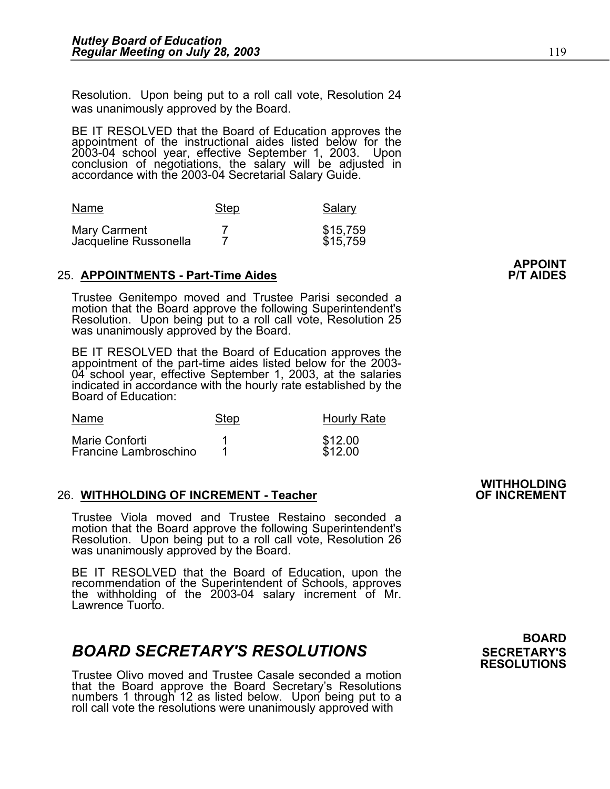Resolution. Upon being put to a roll call vote, Resolution 24 was unanimously approved by the Board.

BE IT RESOLVED that the Board of Education approves the appointment of the instructional aides listed below for the 2003-04 school year, effective September 1, 2003. Upon<br>conclusion of negotiations, the salary will be adjusted in<br>accordance with the 2003-04 Secretarial Salary Guide.

| Name                                  | Step | Salary               |
|---------------------------------------|------|----------------------|
| Mary Carment<br>Jacqueline Russonella |      | \$15,759<br>\$15,759 |

### 25. **APPOINTMENTS - Part-Time Aides**

Trustee Genitempo moved and Trustee Parisi seconded a motion that the Board approve the following Superintendent's Resolution. Upon being put to a roll call vote, Resolution 25 was unanimously approved by the Board.

BE IT RESOLVED that the Board of Education approves the appointment of the part-time aides listed below for the 2003-04 school year, effective September 1, 2003, at the salaries indicated in accordance with the hourly rate established by the Board of Education:

| Name                                           | Step | <b>Hourly Rate</b> |
|------------------------------------------------|------|--------------------|
| Marie Conforti<br><b>Francine Lambroschino</b> |      | \$12.00<br>\$12.00 |

### 26. WITHHOLDING OF INCREMENT - Teacher

Trustee Viola moved and Trustee Restaino seconded a motion that the Board approve the following Superintendent's Resolution. Upon being put to a roll call vote, Resolution 26 was unanimously approved by the Board.

BE IT RESOLVED that the Board of Education, upon the recommendation of the Superintendent of Schools, approves the withholding of the 2003-04 salary increment of Mr. Lawrence Tuorto.

### **BOARD SECRETARY'S RESOLUTIONS** SECRETARY'S

Trustee Olivo moved and Trustee Casale seconded a motion that the Board approve the Board Secretary's Resolutions numbers 1 through 12 as listed below. Upon being put to a roll call vote the resolutions were unanimously approved with

 **BOARD RESOLUTIONS** 

**WITHHOLDING**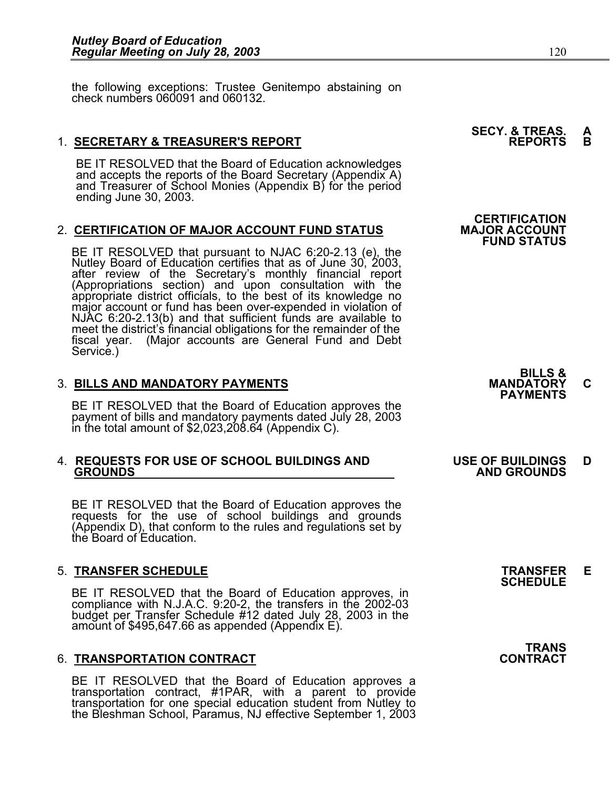the following exceptions: Trustee Genitempo abstaining on check numbers 060091 and 060132.

### 1. **SECRETARY & TREASURER'S REPORT**

BE IT RESOLVED that the Board of Education acknowledges and accepts the reports of the Board Secretary (Appendix A) and Treasurer of School Monies (Appendix B) for the period ending June 30, 2003.

### 2. CERTIFICATION OF MAJOR ACCOUNT FUND STATUS

BE IT RESOLVED that pursuant to NJAC 6:20-2.13 (e), the Nutley Board of Education certifies that as of June 30, 2003, after review of the Secretary's monthly financial report (Appropriations section) and upon consultation with the appropriate district officials, to the best of its knowledge no major account or fund has been over-expended in violation of NJAC 6:20-2.13(b) and that sufficient funds are available to meet the district's financial obligations for the remainder of the fiscal year. (Major accounts are General Fund and Debt Service.)

### 3. **BILLS AND MANDATORY PAYMENTS MANDATORY C PAYMENTS**

BE IT RESOLVED that the Board of Education approves the payment of bills and mandatory payments dated July 28, 2003 in the total amount of \$2,023,208.64 (Appendix C).

### 4. **REQUESTS FOR USE OF SCHOOL BUILDINGS AND USE OF BUILDINGS D GROUNDS AND GROUNDS**

BE IT RESOLVED that the Board of Education approves the requests for the use of school buildings and grounds (Appendix D), that conform to the rules and regulations set by the Board of Education.

5. **TRANSFER SCHEDULE**<br>**BE IT RESOLVED that the Board of Education approves, in SCHEDULE**<br>**BE IT RESOLVED that the Board of Education approves, in** BE IT RESOLVED that the Board of Education approves, in compliance with N.J.A.C. 9:20-2, the transfers in the 2002-03 budget per Transfer Schedule #12 dated July 28, 2003 in the<br>amount of \$495,647.66 as appended (Appendix E).

### 6. **TRANSPORTATION CONTRACT CONTRACT**

BE IT RESOLVED that the Board of Education approves a transportation contract, #1PAR, with a parent to provide transportation for one special education student from Nutley to the Bleshman School, Paramus, NJ effective September 1, 2003

**SECY. & TREAS. A<br>REPORTS B** 

 **CERTIFICATION FUND STATUS** 



**TRANS<br>CONTRACT**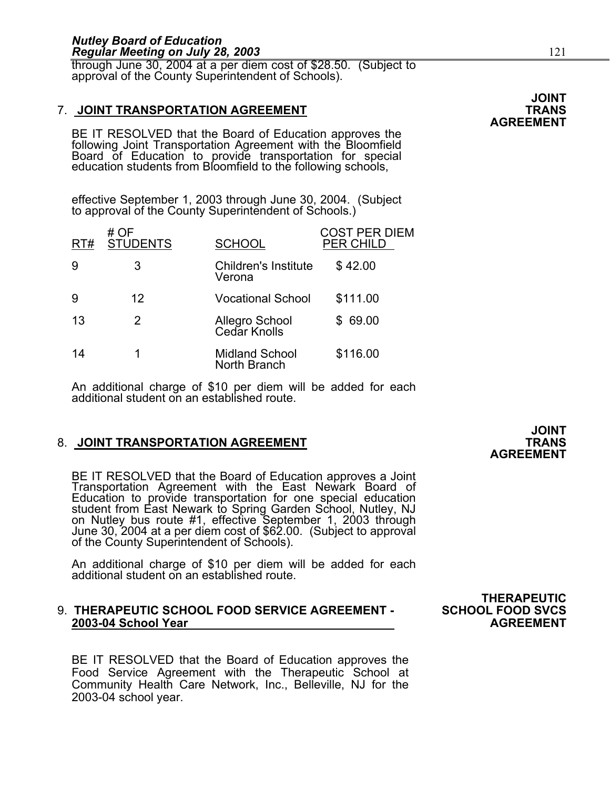through June 30, 2004 at a per diem cost of \$28.50. (Subject to approval of the County Superintendent of Schools).

### 7. **JOINT TRANSPORTATION AGREEMENT TRANS**

BE IT RESOLVED that the Board of Education approves the following Joint Transportation Agreement with the Bloomfield Board of Education to provide transportation for special education students from Bloomfield to the following schools,

effective September 1, 2003 through June 30, 2004. (Subject to approval of the County Superintendent of Schools.)

| RT# | # OF<br><b>STUDENTS</b> | <b>SCHOOL</b>                         | COST PER DIEM<br>PER CHILD |
|-----|-------------------------|---------------------------------------|----------------------------|
| 9   | 3                       | Children's Institute<br>Verona        | \$42.00                    |
| 9   | 12                      | <b>Vocational School</b>              | \$111.00                   |
| 13  | 2                       | Allegro School<br>Cedar Knolls        | \$69.00                    |
| 14  |                         | <b>Midland School</b><br>North Branch | \$116.00                   |

An additional charge of \$10 per diem will be added for each additional student on an established route.

### 8. **JOINT TRANSPORTATION AGREEMENT**

BE IT RESOLVED that the Board of Education approves a Joint Transportation Agreement with the East Newark Board of Education to provide transportation for one special education<br>student from East Newark to Spring Garden School, Nutley, NJ on Nutley bus route #1, effective September 1, 2003 through<br>June 30, 2004 at a per diem cost of \$62.00. (Subject to approval<br>of the County Superintendent of Schools).

An additional charge of \$10 per diem will be added for each additional student on an established route.

### 9. **THERAPEUTIC SCHOOL FOOD SERVICE AGREEMENT - SCHOOL FOOD SVCS 2003-04 School Year AGREEMENT**

BE IT RESOLVED that the Board of Education approves the Food Service Agreement with the Therapeutic School at Community Health Care Network, Inc., Belleville, NJ for the 2003-04 school year.

**JOINT AGREEMENT**

**THERAPEUTIC**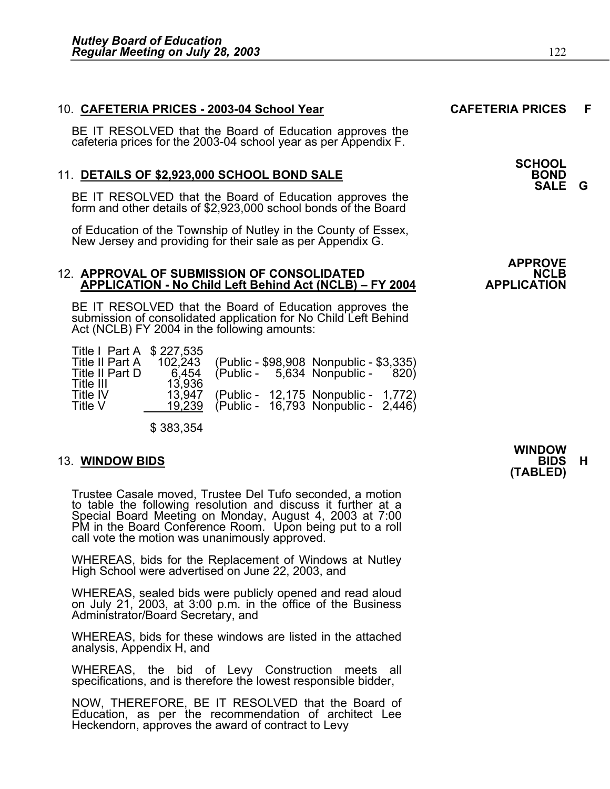### 10. **CAFETERIA PRICES - 2003-04 School Year CAFETERIA PRICES F**

BE IT RESOLVED that the Board of Education approves the cafeteria prices for the 2003-04 school year as per Appendix F.

### 11. **DETAILS OF \$2,923,000 SCHOOL BOND SALE**

BE IT RESOLVED that the Board of Education approves the form and other details of \$2,923,000 school bonds of the Board

of Education of the Township of Nutley in the County of Essex, New Jersey and providing for their sale as per Appendix G.

## 12. APPROVAL OF SUBMISSION OF CONSOLIDATED **NCLB** APPLICATION - No Child Left Behind Act (NCLB) – FY 2004 **APPLICATION**

BE IT RESOLVED that the Board of Education approves the submission of consolidated application for No Child Left Behind Act (NCLB) FY 2004 in the following amounts:

| Title I Part A \$ 227,535 |         |                                         |  |
|---------------------------|---------|-----------------------------------------|--|
| Title II Part A           | 102,243 | (Public - \$98,908 Nonpublic - \$3,335) |  |
| Title II Part D           | 6.454   | $(Public - 5,634 Nonpublic - 820)$      |  |
| Title III                 | 13,936  |                                         |  |
| Title IV                  | 13.947  | (Public - 12,175 Nonpublic - 1,772)     |  |
| Title V                   | 19.239  | (Public - 16,793 Nonpublic - 2,446)     |  |
|                           |         |                                         |  |

\$ 383,354

Trustee Casale moved, Trustee Del Tufo seconded, a motion to table the following resolution and discuss it further at a Special Board Meeting on Monday, August 4, 2003 at 7:00 PM in the Board Conference Room. Upon being put to a roll<br>call vote the motion was unanimously approved.

WHEREAS, bids for the Replacement of Windows at Nutley High School were advertised on June 22, 2003, and

WHEREAS, sealed bids were publicly opened and read aloud on July 21, 2003, at 3:00 p.m. in the office of the Business Administrator/Board Secretary, and

WHEREAS, bids for these windows are listed in the attached analysis, Appendix H, and

WHEREAS, the bid of Levy Construction meets all specifications, and is therefore the lowest responsible bidder,

NOW, THEREFORE, BE IT RESOLVED that the Board of Education, as per the recommendation of architect Lee Heckendorn, approves the award of contract to Levy

**SCHOOL SALE G**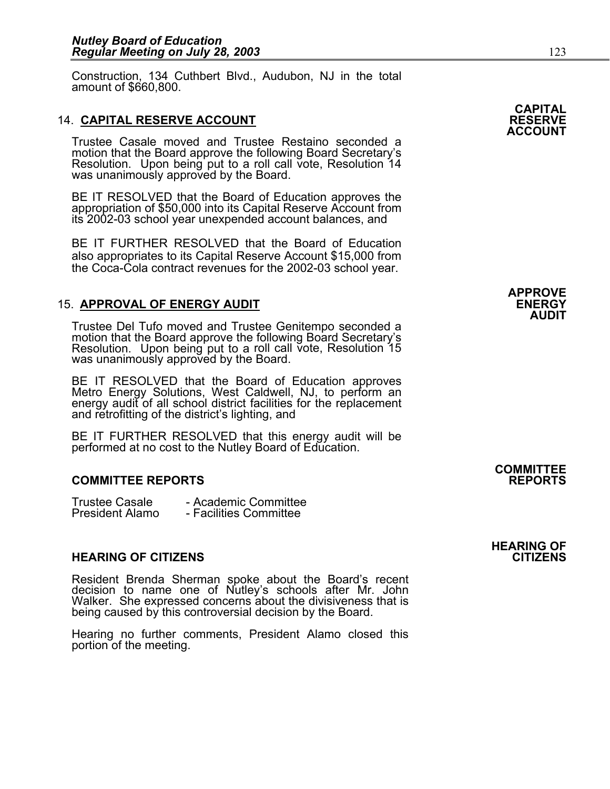Construction, 134 Cuthbert Blvd., Audubon, NJ in the total amount of \$660,800.

### **14. CAPITAL RESERVE ACCOUNT**

Trustee Casale moved and Trustee Restaino seconded a Resolution. Upon being put to a roll call vote, Resolution 14 was unanimously approved by the Board.

BE IT RESOLVED that the Board of Education approves the appropriation of \$50,000 into its Capital Reserve Account from its 2002-03 school year unexpended account balances, and

BE IT FURTHER RESOLVED that the Board of Education also appropriates to its Capital Reserve Account \$15,000 from the Coca-Cola contract revenues for the 2002-03 school year.

### 15. **APPROVAL OF ENERGY AUDIT ENERGY**

Trustee Del Tufo moved and Trustee Genitempo seconded a motion that the Board approve the following Board Secretary's Resolution. Upon being put to a roll call vote, Resolution 15 was unanimously approved by the Board.

BE IT RESOLVED that the Board of Education approves Metro Energy Solutions, West Caldwell, NJ, to perform an energy audit of all school district facilities for the replacement<br>and retrofitting of the district's lighting, and

BE IT FURTHER RESOLVED that this energy audit will be performed at no cost to the Nutley Board of Education.

### **COMMITTEE REPORTS REPORTS**

| <b>Trustee Casale</b>  | - Academic Committee   |
|------------------------|------------------------|
| <b>President Alamo</b> | - Facilities Committee |

### **HEARING OF CITIZENS CITIZENS**

Resident Brenda Sherman spoke about the Board's recent decision to name one of Nutley's schools after Mr. John Walker. She expressed concerns about the divisiveness that is being caused by this controversial decision by the Board.

Hearing no further comments, President Alamo closed this portion of the meeting.



**APPROVE AUDIT** 

### **COMMITTEE**

### **HEARING OF**